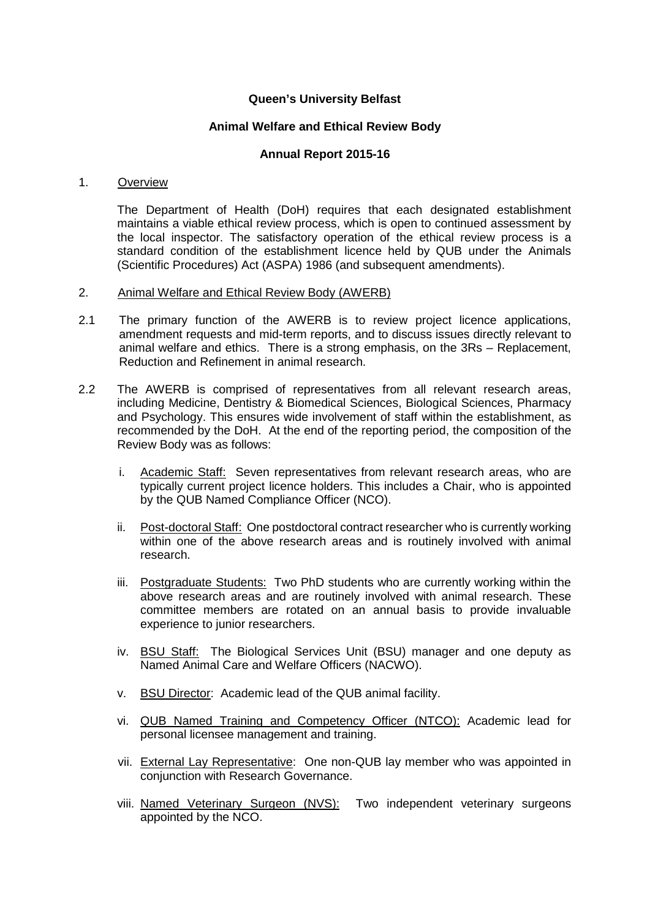# **Queen's University Belfast**

# **Animal Welfare and Ethical Review Body**

# **Annual Report 2015-16**

## 1. Overview

The Department of Health (DoH) requires that each designated establishment maintains a viable ethical review process, which is open to continued assessment by the local inspector. The satisfactory operation of the ethical review process is a standard condition of the establishment licence held by QUB under the Animals (Scientific Procedures) Act (ASPA) 1986 (and subsequent amendments).

## 2. Animal Welfare and Ethical Review Body (AWERB)

- 2.1 The primary function of the AWERB is to review project licence applications, amendment requests and mid-term reports, and to discuss issues directly relevant to animal welfare and ethics. There is a strong emphasis, on the 3Rs – Replacement, Reduction and Refinement in animal research.
- 2.2 The AWERB is comprised of representatives from all relevant research areas, including Medicine, Dentistry & Biomedical Sciences, Biological Sciences, Pharmacy and Psychology. This ensures wide involvement of staff within the establishment, as recommended by the DoH. At the end of the reporting period, the composition of the Review Body was as follows:
	- i. Academic Staff: Seven representatives from relevant research areas, who are typically current project licence holders. This includes a Chair, who is appointed by the QUB Named Compliance Officer (NCO).
	- ii. Post-doctoral Staff: One postdoctoral contract researcher who is currently working within one of the above research areas and is routinely involved with animal research.
	- iii. Postgraduate Students: Two PhD students who are currently working within the above research areas and are routinely involved with animal research. These committee members are rotated on an annual basis to provide invaluable experience to junior researchers.
	- iv. BSU Staff: The Biological Services Unit (BSU) manager and one deputy as Named Animal Care and Welfare Officers (NACWO).
	- v. BSU Director: Academic lead of the QUB animal facility.
	- vi. QUB Named Training and Competency Officer (NTCO): Academic lead for personal licensee management and training.
	- vii. External Lay Representative: One non-QUB lay member who was appointed in conjunction with Research Governance.
	- viii. Named Veterinary Surgeon (NVS): Two independent veterinary surgeons appointed by the NCO.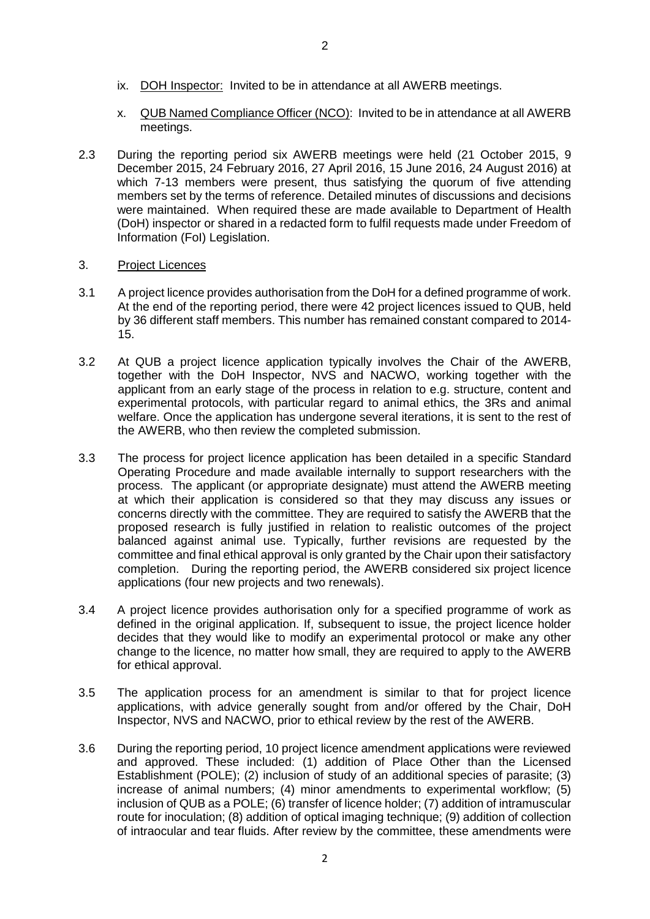- ix. DOH Inspector: Invited to be in attendance at all AWERB meetings.
- x. QUB Named Compliance Officer (NCO): Invited to be in attendance at all AWERB meetings.
- 2.3 During the reporting period six AWERB meetings were held (21 October 2015, 9 December 2015, 24 February 2016, 27 April 2016, 15 June 2016, 24 August 2016) at which 7-13 members were present, thus satisfying the quorum of five attending members set by the terms of reference. Detailed minutes of discussions and decisions were maintained. When required these are made available to Department of Health (DoH) inspector or shared in a redacted form to fulfil requests made under Freedom of Information (FoI) Legislation.

# 3. Project Licences

- 3.1 A project licence provides authorisation from the DoH for a defined programme of work. At the end of the reporting period, there were 42 project licences issued to QUB, held by 36 different staff members. This number has remained constant compared to 2014- 15.
- 3.2 At QUB a project licence application typically involves the Chair of the AWERB, together with the DoH Inspector, NVS and NACWO, working together with the applicant from an early stage of the process in relation to e.g. structure, content and experimental protocols, with particular regard to animal ethics, the 3Rs and animal welfare. Once the application has undergone several iterations, it is sent to the rest of the AWERB, who then review the completed submission.
- 3.3 The process for project licence application has been detailed in a specific Standard Operating Procedure and made available internally to support researchers with the process. The applicant (or appropriate designate) must attend the AWERB meeting at which their application is considered so that they may discuss any issues or concerns directly with the committee. They are required to satisfy the AWERB that the proposed research is fully justified in relation to realistic outcomes of the project balanced against animal use. Typically, further revisions are requested by the committee and final ethical approval is only granted by the Chair upon their satisfactory completion. During the reporting period, the AWERB considered six project licence applications (four new projects and two renewals).
- 3.4 A project licence provides authorisation only for a specified programme of work as defined in the original application. If, subsequent to issue, the project licence holder decides that they would like to modify an experimental protocol or make any other change to the licence, no matter how small, they are required to apply to the AWERB for ethical approval.
- 3.5 The application process for an amendment is similar to that for project licence applications, with advice generally sought from and/or offered by the Chair, DoH Inspector, NVS and NACWO, prior to ethical review by the rest of the AWERB.
- 3.6 During the reporting period, 10 project licence amendment applications were reviewed and approved. These included: (1) addition of Place Other than the Licensed Establishment (POLE); (2) inclusion of study of an additional species of parasite; (3) increase of animal numbers; (4) minor amendments to experimental workflow; (5) inclusion of QUB as a POLE; (6) transfer of licence holder; (7) addition of intramuscular route for inoculation; (8) addition of optical imaging technique; (9) addition of collection of intraocular and tear fluids. After review by the committee, these amendments were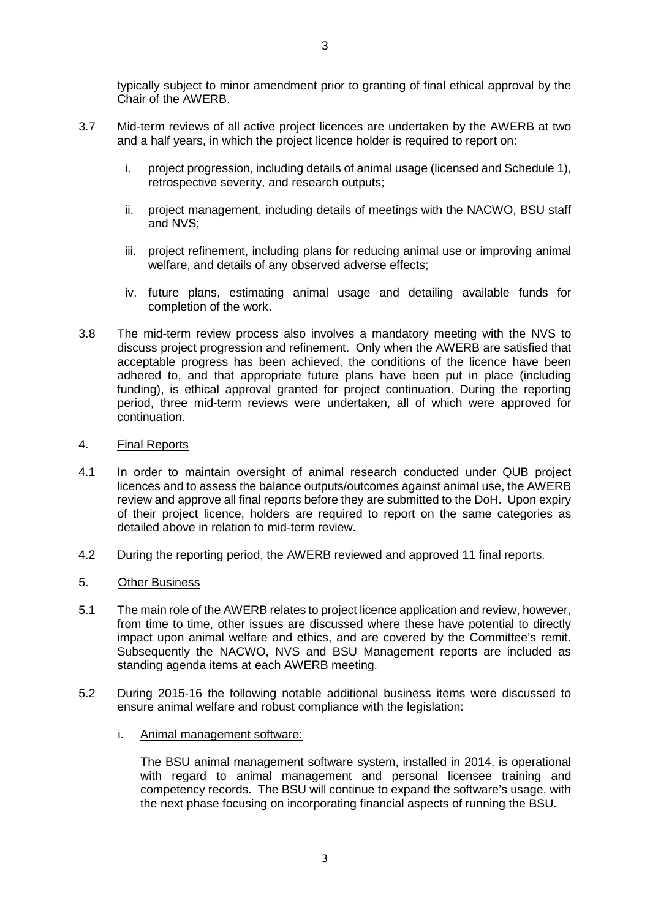typically subject to minor amendment prior to granting of final ethical approval by the Chair of the AWERB.

- 3.7 Mid-term reviews of all active project licences are undertaken by the AWERB at two and a half years, in which the project licence holder is required to report on:
	- i. project progression, including details of animal usage (licensed and Schedule 1), retrospective severity, and research outputs;
	- ii. project management, including details of meetings with the NACWO, BSU staff and NVS;
	- iii. project refinement, including plans for reducing animal use or improving animal welfare, and details of any observed adverse effects;
	- iv. future plans, estimating animal usage and detailing available funds for completion of the work.
- 3.8 The mid-term review process also involves a mandatory meeting with the NVS to discuss project progression and refinement. Only when the AWERB are satisfied that acceptable progress has been achieved, the conditions of the licence have been adhered to, and that appropriate future plans have been put in place (including funding), is ethical approval granted for project continuation. During the reporting period, three mid-term reviews were undertaken, all of which were approved for continuation.

## 4. Final Reports

- 4.1 In order to maintain oversight of animal research conducted under QUB project licences and to assess the balance outputs/outcomes against animal use, the AWERB review and approve all final reports before they are submitted to the DoH. Upon expiry of their project licence, holders are required to report on the same categories as detailed above in relation to mid-term review.
- 4.2 During the reporting period, the AWERB reviewed and approved 11 final reports.
- 5. Other Business
- 5.1 The main role of the AWERB relates to project licence application and review, however, from time to time, other issues are discussed where these have potential to directly impact upon animal welfare and ethics, and are covered by the Committee's remit. Subsequently the NACWO, NVS and BSU Management reports are included as standing agenda items at each AWERB meeting.
- 5.2 During 2015-16 the following notable additional business items were discussed to ensure animal welfare and robust compliance with the legislation:
	- i. Animal management software:

The BSU animal management software system, installed in 2014, is operational with regard to animal management and personal licensee training and competency records. The BSU will continue to expand the software's usage, with the next phase focusing on incorporating financial aspects of running the BSU.